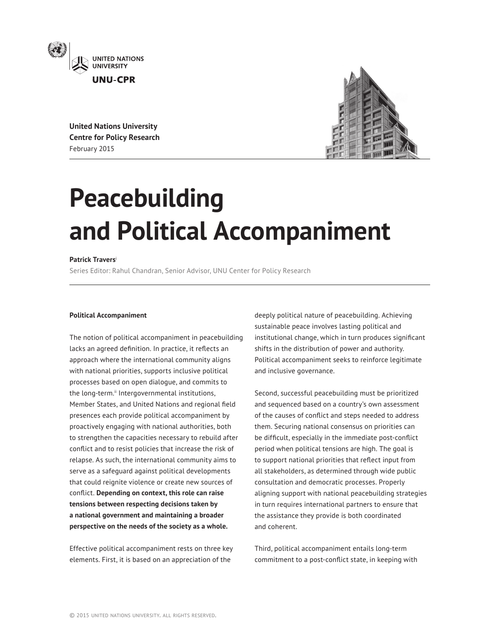

**United Nations University Centre for Policy Research** February 2015



# **Peacebuilding and Political Accompaniment**

## **Patrick Travers**<sup>i</sup>

Series Editor: Rahul Chandran, Senior Advisor, UNU Center for Policy Research

#### **Political Accompaniment**

The notion of political accompaniment in peacebuilding lacks an agreed definition. In practice, it reflects an approach where the international community aligns with national priorities, supports inclusive political processes based on open dialogue, and commits to the long-term.<sup>ii</sup> Intergovernmental institutions, Member States, and United Nations and regional field presences each provide political accompaniment by proactively engaging with national authorities, both to strengthen the capacities necessary to rebuild after conflict and to resist policies that increase the risk of relapse. As such, the international community aims to serve as a safeguard against political developments that could reignite violence or create new sources of conflict. **Depending on context, this role can raise tensions between respecting decisions taken by a national government and maintaining a broader perspective on the needs of the society as a whole.**

Effective political accompaniment rests on three key elements. First, it is based on an appreciation of the

deeply political nature of peacebuilding. Achieving sustainable peace involves lasting political and institutional change, which in turn produces significant shifts in the distribution of power and authority. Political accompaniment seeks to reinforce legitimate and inclusive governance.

Second, successful peacebuilding must be prioritized and sequenced based on a country's own assessment of the causes of conflict and steps needed to address them. Securing national consensus on priorities can be difficult, especially in the immediate post-conflict period when political tensions are high. The goal is to support national priorities that reflect input from all stakeholders, as determined through wide public consultation and democratic processes. Properly aligning support with national peacebuilding strategies in turn requires international partners to ensure that the assistance they provide is both coordinated and coherent.

Third, political accompaniment entails long-term commitment to a post-conflict state, in keeping with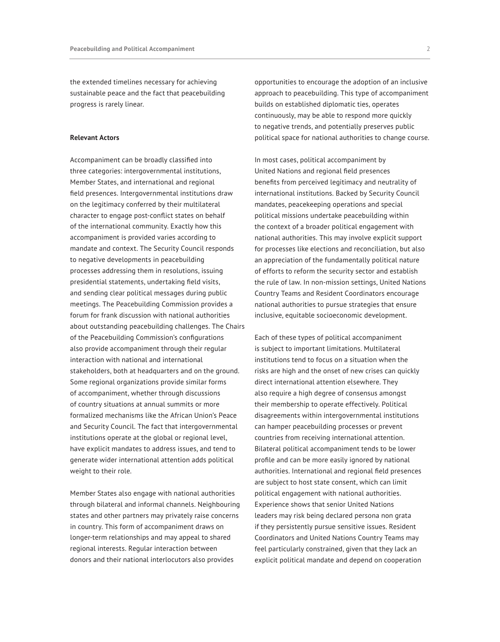the extended timelines necessary for achieving sustainable peace and the fact that peacebuilding progress is rarely linear.

#### **Relevant Actors**

Accompaniment can be broadly classified into three categories: intergovernmental institutions, Member States, and international and regional field presences. Intergovernmental institutions draw on the legitimacy conferred by their multilateral character to engage post-conflict states on behalf of the international community. Exactly how this accompaniment is provided varies according to mandate and context. The Security Council responds to negative developments in peacebuilding processes addressing them in resolutions, issuing presidential statements, undertaking field visits, and sending clear political messages during public meetings. The Peacebuilding Commission provides a forum for frank discussion with national authorities about outstanding peacebuilding challenges. The Chairs of the Peacebuilding Commission's configurations also provide accompaniment through their regular interaction with national and international stakeholders, both at headquarters and on the ground. Some regional organizations provide similar forms of accompaniment, whether through discussions of country situations at annual summits or more formalized mechanisms like the African Union's Peace and Security Council. The fact that intergovernmental institutions operate at the global or regional level, have explicit mandates to address issues, and tend to generate wider international attention adds political weight to their role.

Member States also engage with national authorities through bilateral and informal channels. Neighbouring states and other partners may privately raise concerns in country. This form of accompaniment draws on longer-term relationships and may appeal to shared regional interests. Regular interaction between donors and their national interlocutors also provides

opportunities to encourage the adoption of an inclusive approach to peacebuilding. This type of accompaniment builds on established diplomatic ties, operates continuously, may be able to respond more quickly to negative trends, and potentially preserves public political space for national authorities to change course.

In most cases, political accompaniment by United Nations and regional field presences benefits from perceived legitimacy and neutrality of international institutions. Backed by Security Council mandates, peacekeeping operations and special political missions undertake peacebuilding within the context of a broader political engagement with national authorities. This may involve explicit support for processes like elections and reconciliation, but also an appreciation of the fundamentally political nature of efforts to reform the security sector and establish the rule of law. In non-mission settings, United Nations Country Teams and Resident Coordinators encourage national authorities to pursue strategies that ensure inclusive, equitable socioeconomic development.

Each of these types of political accompaniment is subject to important limitations. Multilateral institutions tend to focus on a situation when the risks are high and the onset of new crises can quickly direct international attention elsewhere. They also require a high degree of consensus amongst their membership to operate effectively. Political disagreements within intergovernmental institutions can hamper peacebuilding processes or prevent countries from receiving international attention. Bilateral political accompaniment tends to be lower profile and can be more easily ignored by national authorities. International and regional field presences are subject to host state consent, which can limit political engagement with national authorities. Experience shows that senior United Nations leaders may risk being declared persona non grata if they persistently pursue sensitive issues. Resident Coordinators and United Nations Country Teams may feel particularly constrained, given that they lack an explicit political mandate and depend on cooperation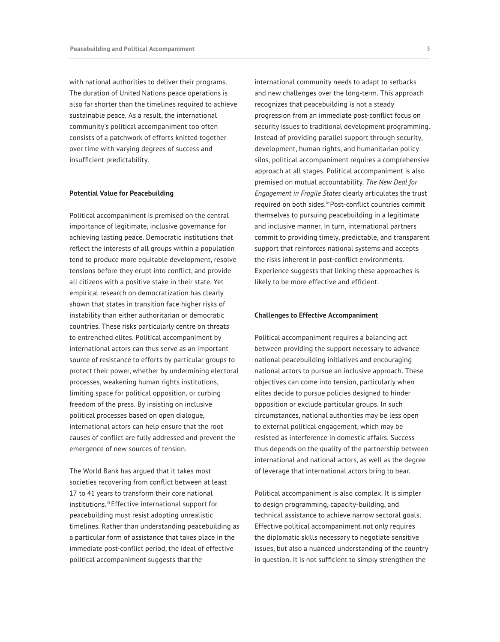with national authorities to deliver their programs. The duration of United Nations peace operations is also far shorter than the timelines required to achieve sustainable peace. As a result, the international community's political accompaniment too often consists of a patchwork of efforts knitted together over time with varying degrees of success and insufficient predictability.

#### **Potential Value for Peacebuilding**

Political accompaniment is premised on the central importance of legitimate, inclusive governance for achieving lasting peace. Democratic institutions that reflect the interests of all groups within a population tend to produce more equitable development, resolve tensions before they erupt into conflict, and provide all citizens with a positive stake in their state. Yet empirical research on democratization has clearly shown that states in transition face higher risks of instability than either authoritarian or democratic countries. These risks particularly centre on threats to entrenched elites. Political accompaniment by international actors can thus serve as an important source of resistance to efforts by particular groups to protect their power, whether by undermining electoral processes, weakening human rights institutions, limiting space for political opposition, or curbing freedom of the press. By insisting on inclusive political processes based on open dialogue, international actors can help ensure that the root causes of conflict are fully addressed and prevent the emergence of new sources of tension.

The World Bank has argued that it takes most societies recovering from conflict between at least 17 to 41 years to transform their core national institutions.<sup>iii</sup> Effective international support for peacebuilding must resist adopting unrealistic timelines. Rather than understanding peacebuilding as a particular form of assistance that takes place in the immediate post-conflict period, the ideal of effective political accompaniment suggests that the

international community needs to adapt to setbacks and new challenges over the long-term. This approach recognizes that peacebuilding is not a steady progression from an immediate post-conflict focus on security issues to traditional development programming. Instead of providing parallel support through security, development, human rights, and humanitarian policy silos, political accompaniment requires a comprehensive approach at all stages. Political accompaniment is also premised on mutual accountability. *The New Deal for Engagement in Fragile States* clearly articulates the trust required on both sides.iv Post-conflict countries commit themselves to pursuing peacebuilding in a legitimate and inclusive manner. In turn, international partners commit to providing timely, predictable, and transparent support that reinforces national systems and accepts the risks inherent in post-conflict environments. Experience suggests that linking these approaches is likely to be more effective and efficient.

### **Challenges to Effective Accompaniment**

Political accompaniment requires a balancing act between providing the support necessary to advance national peacebuilding initiatives and encouraging national actors to pursue an inclusive approach. These objectives can come into tension, particularly when elites decide to pursue policies designed to hinder opposition or exclude particular groups. In such circumstances, national authorities may be less open to external political engagement, which may be resisted as interference in domestic affairs. Success thus depends on the quality of the partnership between international and national actors, as well as the degree of leverage that international actors bring to bear.

Political accompaniment is also complex. It is simpler to design programming, capacity-building, and technical assistance to achieve narrow sectoral goals. Effective political accompaniment not only requires the diplomatic skills necessary to negotiate sensitive issues, but also a nuanced understanding of the country in question. It is not sufficient to simply strengthen the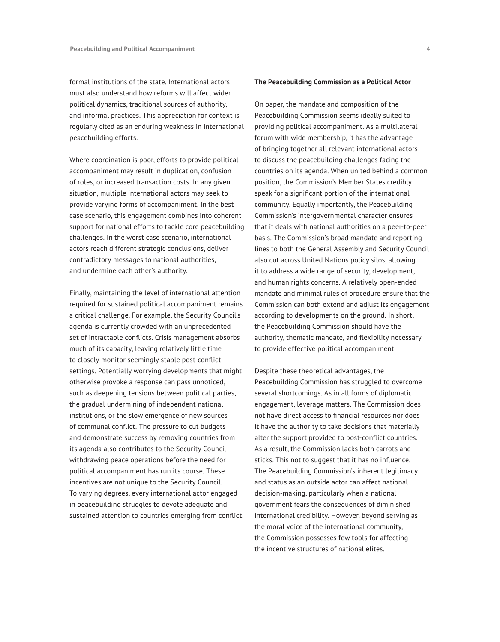formal institutions of the state. International actors must also understand how reforms will affect wider political dynamics, traditional sources of authority, and informal practices. This appreciation for context is regularly cited as an enduring weakness in international peacebuilding efforts.

Where coordination is poor, efforts to provide political accompaniment may result in duplication, confusion of roles, or increased transaction costs. In any given situation, multiple international actors may seek to provide varying forms of accompaniment. In the best case scenario, this engagement combines into coherent support for national efforts to tackle core peacebuilding challenges. In the worst case scenario, international actors reach different strategic conclusions, deliver contradictory messages to national authorities, and undermine each other's authority.

Finally, maintaining the level of international attention required for sustained political accompaniment remains a critical challenge. For example, the Security Council's agenda is currently crowded with an unprecedented set of intractable conflicts. Crisis management absorbs much of its capacity, leaving relatively little time to closely monitor seemingly stable post-conflict settings. Potentially worrying developments that might otherwise provoke a response can pass unnoticed, such as deepening tensions between political parties, the gradual undermining of independent national institutions, or the slow emergence of new sources of communal conflict. The pressure to cut budgets and demonstrate success by removing countries from its agenda also contributes to the Security Council withdrawing peace operations before the need for political accompaniment has run its course. These incentives are not unique to the Security Council. To varying degrees, every international actor engaged in peacebuilding struggles to devote adequate and sustained attention to countries emerging from conflict.

#### **The Peacebuilding Commission as a Political Actor**

On paper, the mandate and composition of the Peacebuilding Commission seems ideally suited to providing political accompaniment. As a multilateral forum with wide membership, it has the advantage of bringing together all relevant international actors to discuss the peacebuilding challenges facing the countries on its agenda. When united behind a common position, the Commission's Member States credibly speak for a significant portion of the international community. Equally importantly, the Peacebuilding Commission's intergovernmental character ensures that it deals with national authorities on a peer-to-peer basis. The Commission's broad mandate and reporting lines to both the General Assembly and Security Council also cut across United Nations policy silos, allowing it to address a wide range of security, development, and human rights concerns. A relatively open-ended mandate and minimal rules of procedure ensure that the Commission can both extend and adjust its engagement according to developments on the ground. In short, the Peacebuilding Commission should have the authority, thematic mandate, and flexibility necessary to provide effective political accompaniment.

Despite these theoretical advantages, the Peacebuilding Commission has struggled to overcome several shortcomings. As in all forms of diplomatic engagement, leverage matters. The Commission does not have direct access to financial resources nor does it have the authority to take decisions that materially alter the support provided to post-conflict countries. As a result, the Commission lacks both carrots and sticks. This not to suggest that it has no influence. The Peacebuilding Commission's inherent legitimacy and status as an outside actor can affect national decision-making, particularly when a national government fears the consequences of diminished international credibility. However, beyond serving as the moral voice of the international community, the Commission possesses few tools for affecting the incentive structures of national elites.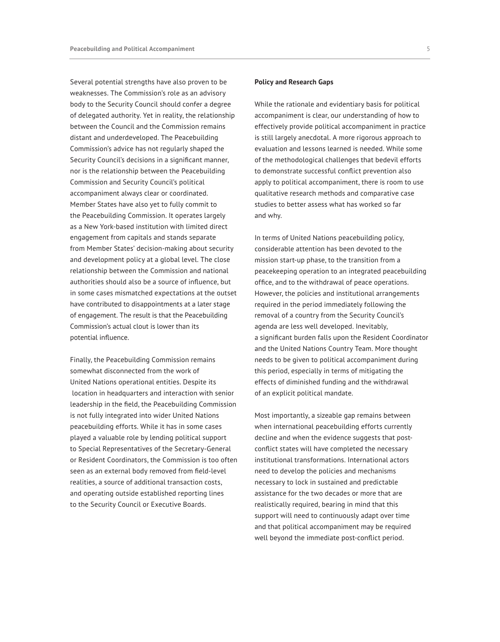Several potential strengths have also proven to be weaknesses. The Commission's role as an advisory body to the Security Council should confer a degree of delegated authority. Yet in reality, the relationship between the Council and the Commission remains distant and underdeveloped. The Peacebuilding Commission's advice has not regularly shaped the Security Council's decisions in a significant manner, nor is the relationship between the Peacebuilding Commission and Security Council's political accompaniment always clear or coordinated. Member States have also yet to fully commit to the Peacebuilding Commission. It operates largely as a New York-based institution with limited direct engagement from capitals and stands separate from Member States' decision-making about security and development policy at a global level. The close relationship between the Commission and national authorities should also be a source of influence, but in some cases mismatched expectations at the outset have contributed to disappointments at a later stage of engagement. The result is that the Peacebuilding Commission's actual clout is lower than its potential influence.

Finally, the Peacebuilding Commission remains somewhat disconnected from the work of United Nations operational entities. Despite its location in headquarters and interaction with senior leadership in the field, the Peacebuilding Commission is not fully integrated into wider United Nations peacebuilding efforts. While it has in some cases played a valuable role by lending political support to Special Representatives of the Secretary-General or Resident Coordinators, the Commission is too often seen as an external body removed from field-level realities, a source of additional transaction costs, and operating outside established reporting lines to the Security Council or Executive Boards.

## **Policy and Research Gaps**

While the rationale and evidentiary basis for political accompaniment is clear, our understanding of how to effectively provide political accompaniment in practice is still largely anecdotal. A more rigorous approach to evaluation and lessons learned is needed. While some of the methodological challenges that bedevil efforts to demonstrate successful conflict prevention also apply to political accompaniment, there is room to use qualitative research methods and comparative case studies to better assess what has worked so far and why.

In terms of United Nations peacebuilding policy, considerable attention has been devoted to the mission start-up phase, to the transition from a peacekeeping operation to an integrated peacebuilding office, and to the withdrawal of peace operations. However, the policies and institutional arrangements required in the period immediately following the removal of a country from the Security Council's agenda are less well developed. Inevitably, a significant burden falls upon the Resident Coordinator and the United Nations Country Team. More thought needs to be given to political accompaniment during this period, especially in terms of mitigating the effects of diminished funding and the withdrawal of an explicit political mandate.

Most importantly, a sizeable gap remains between when international peacebuilding efforts currently decline and when the evidence suggests that postconflict states will have completed the necessary institutional transformations. International actors need to develop the policies and mechanisms necessary to lock in sustained and predictable assistance for the two decades or more that are realistically required, bearing in mind that this support will need to continuously adapt over time and that political accompaniment may be required well beyond the immediate post-conflict period.